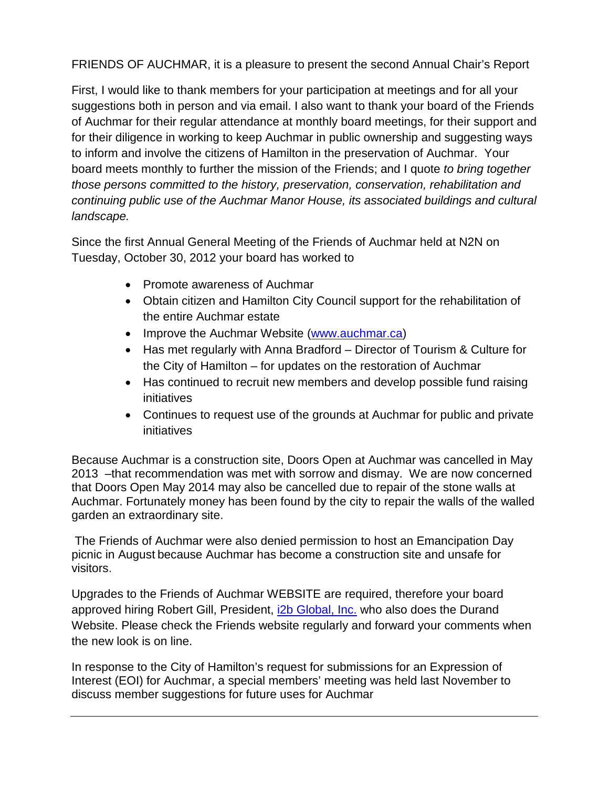FRIENDS OF AUCHMAR, it is a pleasure to present the second Annual Chair's Report

First, I would like to thank members for your participation at meetings and for all your suggestions both in person and via email. I also want to thank your board of the Friends of Auchmar for their regular attendance at monthly board meetings, for their support and for their diligence in working to keep Auchmar in public ownership and suggesting ways to inform and involve the citizens of Hamilton in the preservation of Auchmar. Your board meets monthly to further the mission of the Friends; and I quote *to bring together those persons committed to the history, preservation, conservation, rehabilitation and continuing public use of the Auchmar Manor House, its associated buildings and cultural landscape.*

Since the first Annual General Meeting of the Friends of Auchmar held at N2N on Tuesday, October 30, 2012 your board has worked to

- Promote awareness of Auchmar
- Obtain citizen and Hamilton City Council support for the rehabilitation of the entire Auchmar estate
- Improve the Auchmar Website [\(www.auchmar.ca\)](http://www.auchmar.ca/)
- Has met regularly with Anna Bradford Director of Tourism & Culture for the City of Hamilton – for updates on the restoration of Auchmar
- Has continued to recruit new members and develop possible fund raising initiatives
- Continues to request use of the grounds at Auchmar for public and private initiatives

Because Auchmar is a construction site, Doors Open at Auchmar was cancelled in May 2013 –that recommendation was met with sorrow and dismay. We are now concerned that Doors Open May 2014 may also be cancelled due to repair of the stone walls at Auchmar. Fortunately money has been found by the city to repair the walls of the walled garden an extraordinary site.

The Friends of Auchmar were also denied permission to host an Emancipation Day picnic in August because Auchmar has become a construction site and unsafe for visitors.

Upgrades to the Friends of Auchmar WEBSITE are required, therefore your board approved hiring Robert Gill, President, [i2b Global, Inc.](http://www.i2bglobal.com/) who also does the Durand Website. Please check the Friends website regularly and forward your comments when the new look is on line.

In response to the City of Hamilton's request for submissions for an Expression of Interest (EOI) for Auchmar, a special members' meeting was held last November to discuss member suggestions for future uses for Auchmar